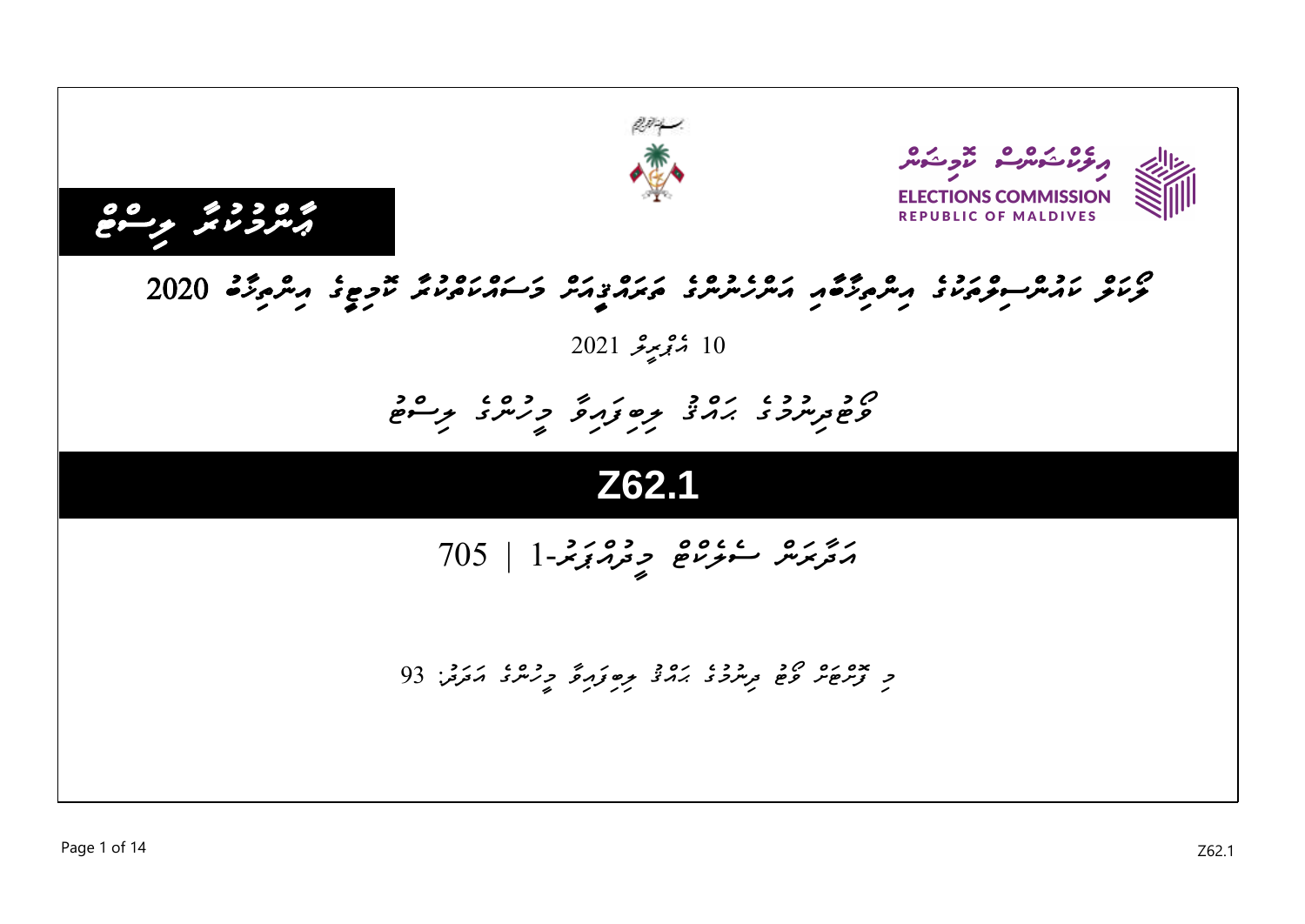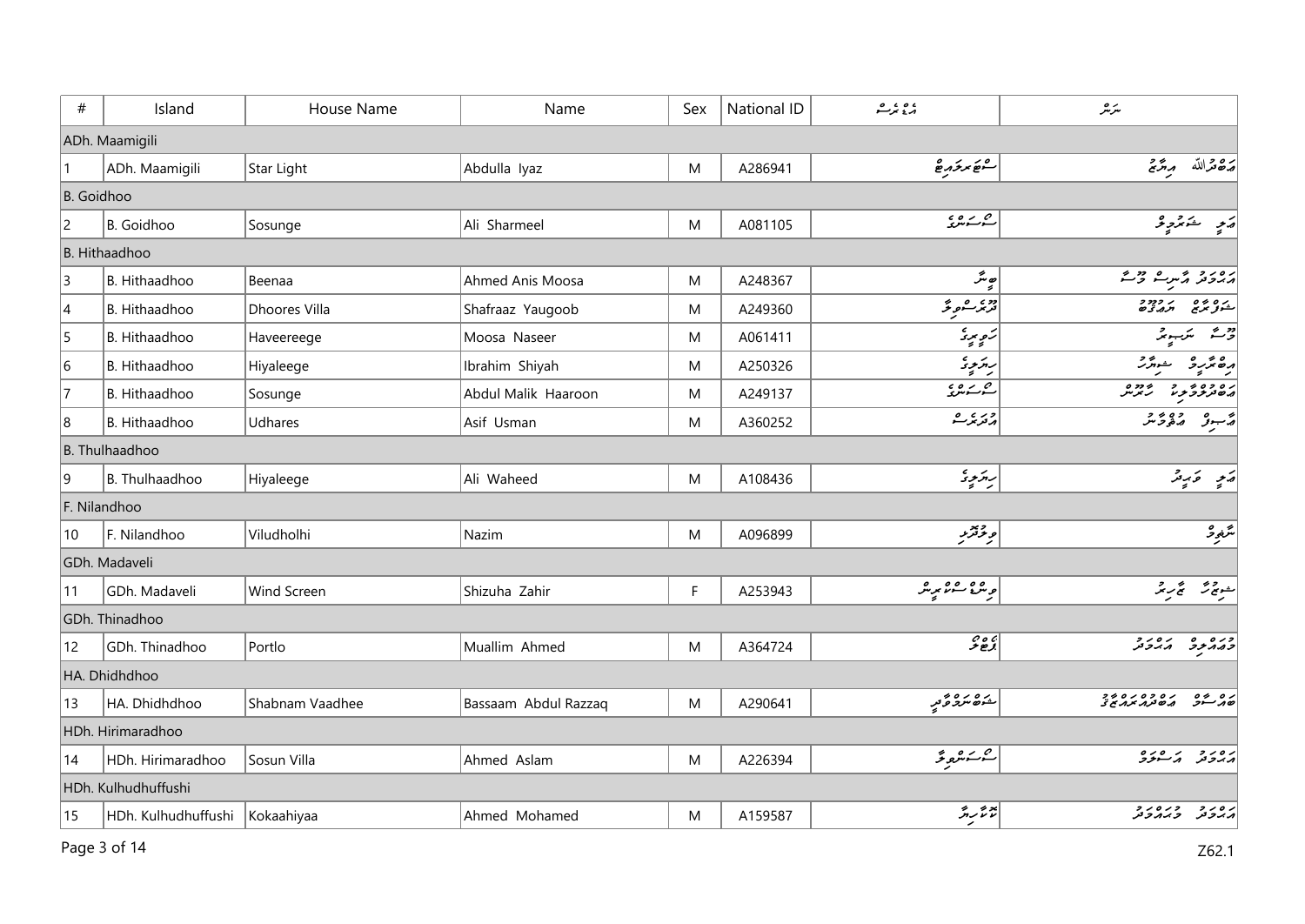| #                        | Island              | House Name      | Name                 | Sex       | National ID | ، ه ، ره<br>د ، برگ        | ىئرىتر                                    |
|--------------------------|---------------------|-----------------|----------------------|-----------|-------------|----------------------------|-------------------------------------------|
|                          | ADh. Maamigili      |                 |                      |           |             |                            |                                           |
|                          | ADh. Maamigili      | Star Light      | Abdulla Iyaz         | M         | A286941     | <u>شوءَ برمزر ۾</u>        | مَدْهِ قَدْاللّه مِعْرَمَ                 |
| B. Goidhoo               |                     |                 |                      |           |             |                            |                                           |
| $\mathcal{P}$            | B. Goidhoo          | Sosunge         | Ali Sharmeel         | M         | A081105     | <u>م ئەيز</u>              | ړَې ځنگړې د                               |
|                          | B. Hithaadhoo       |                 |                      |           |             |                            |                                           |
| $\mathsf{3}$             | B. Hithaadhoo       | Beenaa          | Ahmed Anis Moosa     | ${\sf M}$ | A248367     | اھ بٿر<br>ء                | ړه د د په پره د د                         |
| $\overline{\mathcal{A}}$ | B. Hithaadhoo       | Dhoores Villa   | Shafraaz Yaugoob     | ${\sf M}$ | A249360     | ددې ه<br>ترېر سومو ځ       | בים כים ניכר בים.<br>ביציעים ותומיצים     |
| $\overline{\phantom{a}}$ | B. Hithaadhoo       | Haveereege      | Moosa Naseer         | ${\sf M}$ | A061411     | ر<br>سوپېرو                | دیگر سکیپ پر                              |
| 6                        | B. Hithaadhoo       | Hiyaleege       | Ibrahim Shiyah       | ${\sf M}$ | A250326     | رېزېږي                     | وەترىرو شەرر                              |
| $\overline{7}$           | B. Hithaadhoo       | Sosunge         | Abdul Malik Haaroon  | M         | A249137     | جەبەھ                      |                                           |
| 8                        | B. Hithaadhoo       | Udhares         | Asif Usman           | ${\sf M}$ | A360252     | د ري ه<br>مرتعر ڪ          | و ده ده دوره<br>او سرگر او ده د           |
|                          | B. Thulhaadhoo      |                 |                      |           |             |                            |                                           |
| 9                        | B. Thulhaadhoo      | Hiyaleege       | Ali Waheed           | ${\sf M}$ | A108436     | رېزېږي                     | ړکو کړې تر                                |
|                          | F. Nilandhoo        |                 |                      |           |             |                            |                                           |
| $ 10\rangle$             | F. Nilandhoo        | Viludholhi      | Nazim                | ${\sf M}$ | A096899     | ويحترمر                    | سگفجر گر                                  |
|                          | GDh. Madaveli       |                 |                      |           |             |                            |                                           |
| 11                       | GDh. Madaveli       | Wind Screen     | Shizuha Zahir        | F         | A253943     | وبترة سنتوسر و             | أحديز محمر بر                             |
|                          | GDh. Thinadhoo      |                 |                      |           |             |                            |                                           |
| 12                       | GDh. Thinadhoo      | Portlo          | Muallim Ahmed        | ${\sf M}$ | A364724     | إيماه                      | כנם כם נסניב<br>ב <i>ההיקב</i> המכנת      |
|                          | HA. Dhidhdhoo       |                 |                      |           |             |                            |                                           |
| 13                       | HA. Dhidhdhoo       | Shabnam Vaadhee | Bassaam Abdul Razzaq | ${\sf M}$ | A290641     | شەھ سرچ ئ <sup>ۆ</sup> تېر | ره می در ره دود<br>ته دستو در ته تعریر می |
|                          | HDh. Hirimaradhoo   |                 |                      |           |             |                            |                                           |
| 14                       | HDh. Hirimaradhoo   | Sosun Villa     | Ahmed Aslam          | M         | A226394     | <u>شر ئەشرو ئۇ</u>         | رەرد رەرە                                 |
|                          | HDh. Kulhudhuffushi |                 |                      |           |             |                            |                                           |
| 15                       | HDh. Kulhudhuffushi | Kokaahiyaa      | Ahmed Mohamed        | ${\sf M}$ | A159587     | بیر تھ س <i>ر</i> تھ       | و ره ر د<br>تر پر ژنر<br>ر ەر د           |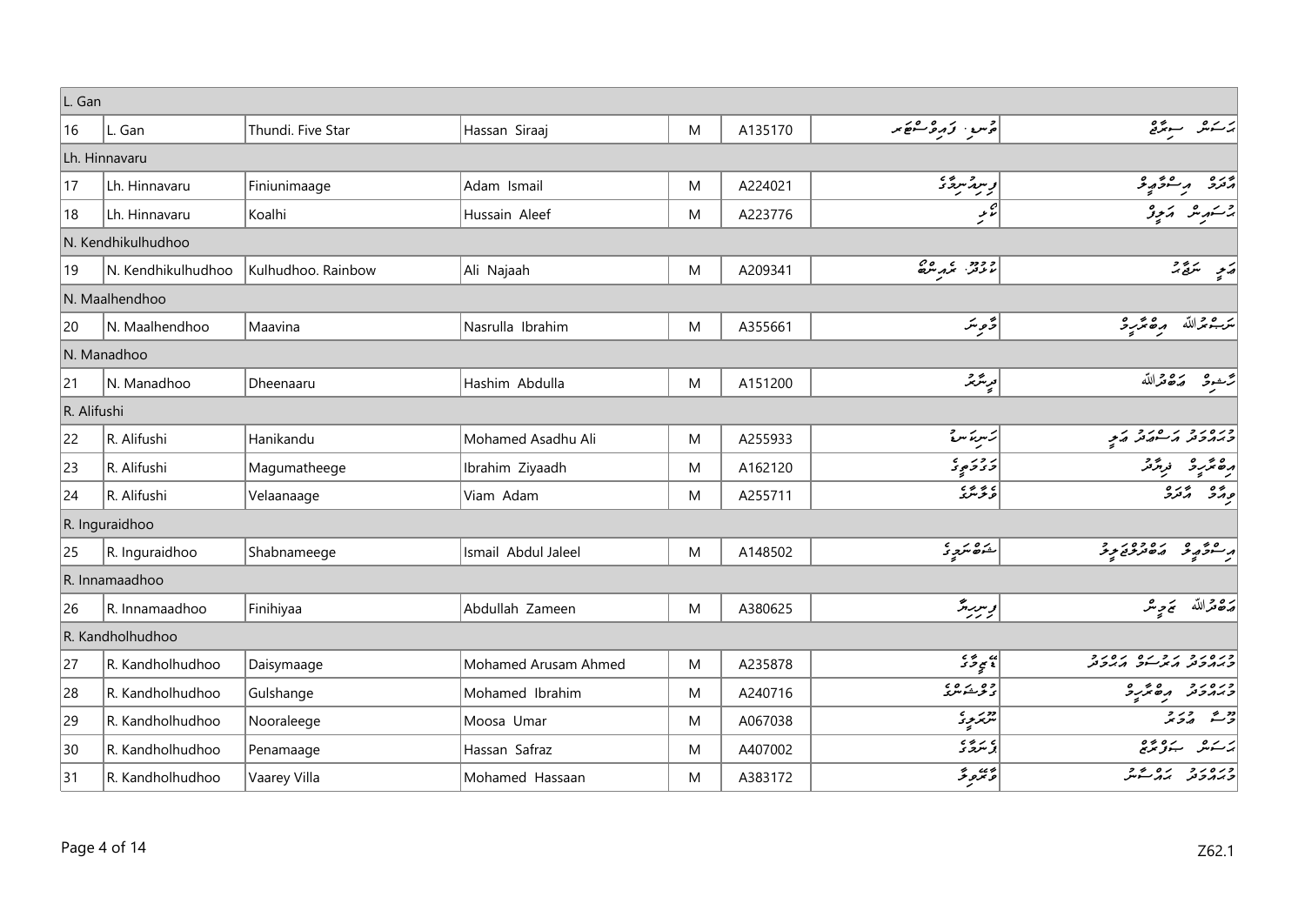| L. Gan      |                    |                    |                      |           |         |                                       |                                               |
|-------------|--------------------|--------------------|----------------------|-----------|---------|---------------------------------------|-----------------------------------------------|
| 16          | L. Gan             | Thundi. Five Star  | Hassan Siraaj        | M         | A135170 | ج <sub>ى</sub> سمى ئەرەك ھەسم         |                                               |
|             | Lh. Hinnavaru      |                    |                      |           |         |                                       |                                               |
| 17          | Lh. Hinnavaru      | Finiunimaage       | Adam Ismail          | M         | A224021 | و سرړ سرچ د                           | أرتده بر مؤثر و                               |
| 18          | Lh. Hinnavaru      | Koalhi             | Hussain Aleef        | M         | A223776 | م<br>موس                              | يز سەر شەر ئەر بۇ                             |
|             | N. Kendhikulhudhoo |                    |                      |           |         |                                       |                                               |
| 19          | N. Kendhikulhudhoo | Kulhudhoo. Rainbow | Ali Najaah           | M         | A209341 | כככב הם כם<br>עישוב יתוק יישום        | أوكمني المتوافق بالمر                         |
|             | N. Maalhendhoo     |                    |                      |           |         |                                       |                                               |
| 20          | N. Maalhendhoo     | Maavina            | Nasrulla Ibrahim     | M         | A355661 | قرمر يئر                              | ىئر جىمەاللە مەھەر چ                          |
|             | N. Manadhoo        |                    |                      |           |         |                                       |                                               |
| 21          | N. Manadhoo        | Dheenaaru          | Hashim Abdulla       | M         | A151200 | ورىتزىز                               | ترحدي وكالاتلة                                |
| R. Alifushi |                    |                    |                      |           |         |                                       |                                               |
| 22          | R. Alifushi        | Hanikandu          | Mohamed Asadhu Ali   | M         | A255933 | ئەسەر ئەسدى                           | כממכני משומר הב                               |
| 23          | R. Alifushi        | Magumatheege       | Ibrahim Ziyaadh      | M         | A162120 | ر در<br>د رومي د                      | ره پژرو زرگرد<br>ده پژرو زرگرد<br>ع می می دره |
| 24          | R. Alifushi        | Velaanaage         | Viam Adam            | M         | A255711 | ء پڑ پڑ ،<br> حرمتر پڑ                |                                               |
|             | R. Inguraidhoo     |                    |                      |           |         |                                       |                                               |
| 25          | R. Inguraidhoo     | Shabnameege        | Ismail Abdul Jaleel  | M         | A148502 | شەھ سرىي ئ                            | ر قۇم قەھەردە بەر                             |
|             | R. Innamaadhoo     |                    |                      |           |         |                                       |                                               |
| 26          | R. Innamaadhoo     | Finihiyaa          | Abdullah Zameen      | ${\sf M}$ | A380625 | و سربر پر<br>سربر بر                  | رة قرالله ت <sub>ح</sub> رٍ شر                |
|             | R. Kandholhudhoo   |                    |                      |           |         |                                       |                                               |
| 27          | R. Kandholhudhoo   | Daisymaage         | Mohamed Arusam Ahmed | M         | A235878 | پی پیچ دی<br>  پی پیچ تر <sub>ک</sub> | כנסני ניכום נסנים<br>בגמבת מינייים מגבת       |
| 28          | R. Kandholhudhoo   | Gulshange          | Mohamed Ibrahim      | M         | A240716 | وه په ده <sup>ی</sup>                 | ەھ ترىرى<br>و ر ه ر د<br>ژبرگرفتر             |
| 29          | R. Kandholhudhoo   | Nooraleege         | Moosa Umar           | M         | A067038 | دد بر<br>شرنگرمونه                    | دو مئر<br>ەرىر                                |
| 30          | R. Kandholhudhoo   | Penamaage          | Hassan Safraz        | M         | A407002 | ې ر د »<br>بو سرچ د                   | برسەمىر<br>پە دە بە ە                         |
| 31          | R. Kandholhudhoo   | Vaarey Villa       | Mohamed Hassaan      | M         | A383172 | ۇ ئەھ بۇ                              | ورەرو رەپ مە                                  |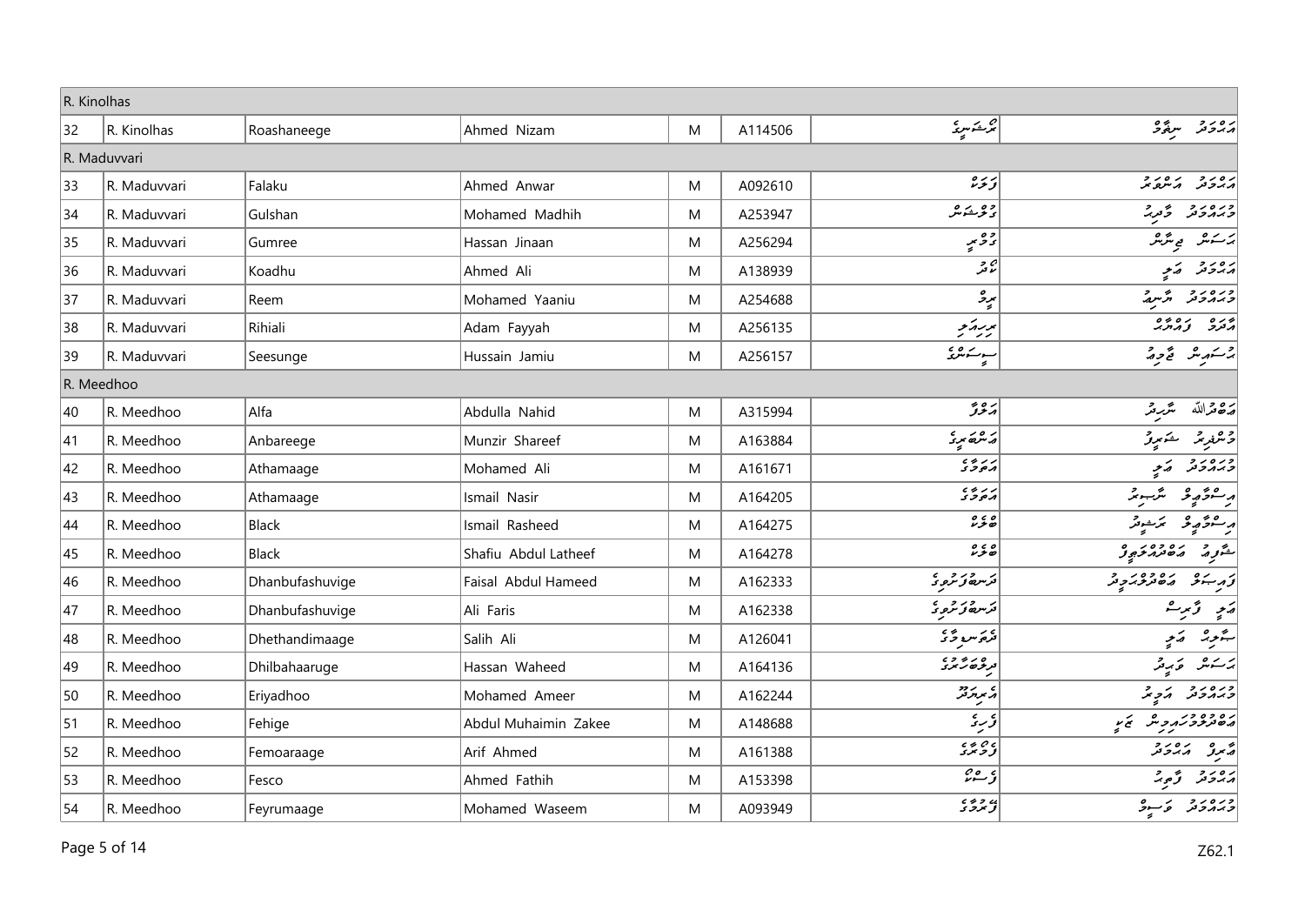| R. Kinolhas |              |                 |                      |   |         |                                  |                                                                                                                                                                                                        |
|-------------|--------------|-----------------|----------------------|---|---------|----------------------------------|--------------------------------------------------------------------------------------------------------------------------------------------------------------------------------------------------------|
| 32          | R. Kinolhas  | Roashaneege     | Ahmed Nizam          | M | A114506 | ترىشە يېرىگە                     | رەر دەر                                                                                                                                                                                                |
|             | R. Maduvvari |                 |                      |   |         |                                  |                                                                                                                                                                                                        |
| 33          | R. Maduvvari | Falaku          | Ahmed Anwar          | M | A092610 | تر ځرړ                           | גפיב גםנב                                                                                                                                                                                              |
| 34          | R. Maduvvari | Gulshan         | Mohamed Madhih       | M | A253947 | <sup>و و</sup> شترىر             | ورەرو ۋىرچ                                                                                                                                                                                             |
| 35          | R. Maduvvari | Gumree          | Hassan Jinaan        | M | A256294 | وه<br>د د پ                      | برسەش م <sub>و</sub> سرىش                                                                                                                                                                              |
| 36          | R. Maduvvari | Koadhu          | Ahmed Ali            | M | A138939 | رو<br>  مذهبہ                    | رەرد كەي                                                                                                                                                                                               |
| 37          | R. Maduvvari | Reem            | Mohamed Yaaniu       | M | A254688 | سميره                            | כנסנכ המינה                                                                                                                                                                                            |
| 38          | R. Maduvvari | Rihiali         | Adam Fayyah          | M | A256135 | ىرىرە ئو<br>ئەر                  | برره ره بره<br>مرکز و کرد                                                                                                                                                                              |
| 39          | R. Maduvvari | Seesunge        | Hussain Jamiu        | M | A256157 | بەيەتىر                          | برسكر متحرقه                                                                                                                                                                                           |
|             | R. Meedhoo   |                 |                      |   |         |                                  |                                                                                                                                                                                                        |
| 40          | R. Meedhoo   | Alfa            | Abdulla Nahid        | M | A315994 | لروبژ                            | رَة قرالله مُتَرَبة                                                                                                                                                                                    |
| 41          | R. Meedhoo   | Anbareege       | Munzir Shareef       | M | A163884 | ر مرچ <sub>مور</sub><br>مرگھ مور | وترور خبرو                                                                                                                                                                                             |
| 42          | R. Meedhoo   | Athamaage       | Mohamed Ali          | M | A161671 | ر ر » ><br>د ه <del>ر</del> ر    |                                                                                                                                                                                                        |
| 43          | R. Meedhoo   | Athamaage       | Ismail Nasir         | M | A164205 | ر ر د »<br>پره <del>ر</del> د    | رىشۇر ئىسىر                                                                                                                                                                                            |
| 44          | R. Meedhoo   | <b>Black</b>    | Ismail Rasheed       | M | A164275 | ە ئەرە                           | رەشق <sub>ە</sub> ئۇيغان ئىشلىق                                                                                                                                                                        |
| 45          | R. Meedhoo   | <b>Black</b>    | Shafiu Abdul Latheef | M | A164278 | ە ئە                             | د ده ده ده ده د و                                                                                                                                                                                      |
| 46          | R. Meedhoo   | Dhanbufashuvige | Faisal Abdul Hameed  | M | A162333 | نرس <i>م و ز</i> حر ۽            | .<br>נולי בי הסתיה בי                                                                                                                                                                                  |
| 47          | R. Meedhoo   | Dhanbufashuvige | Ali Faris            | M | A162338 | تەسھۇ شرە ئ                      | أەي ئىبرگ                                                                                                                                                                                              |
| 48          | R. Meedhoo   | Dhethandimaage  | Salih Ali            | M | A126041 | مَرجو سو رَّ رَ                  | $\begin{array}{cc} \mathcal{L}_{\mathcal{A}} & \mathcal{L}_{\mathcal{A}} & \mathcal{L}_{\mathcal{A}} \\ \mathcal{L}_{\mathcal{A}} & \mathcal{L}_{\mathcal{A}} & \mathcal{L}_{\mathcal{A}} \end{array}$ |
| 49          | R. Meedhoo   | Dhilbahaaruge   | Hassan Waheed        | M | A164136 | ه در ۶ و ۷<br>ترنژه رنگری        | أرَّسَتَشَ وَرِسُ                                                                                                                                                                                      |
| 50          | R. Meedhoo   | Eriyadhoo       | Mohamed Ameer        | M | A162244 | ے بربر دو<br>هر مورد تعر         | כנסנכ בכב                                                                                                                                                                                              |
| 51          | R. Meedhoo   | Fehige          | Abdul Muhaimin Zakee | M | A148688 | ې ر <sub>ې</sub><br>تر گر        | גם כם כן הכיל בין                                                                                                                                                                                      |
| 52          | R. Meedhoo   | Femoaraage      | Arif Ahmed           | M | A161388 | ه ۵ و ه<br>و <del>و</del> بو ړ   | أشعرو أكارد                                                                                                                                                                                            |
| 53          | R. Meedhoo   | Fesco           | Ahmed Fathih         | M | A153398 | ې ده په                          | برەرد ۋەبر                                                                                                                                                                                             |
| 54          | R. Meedhoo   | Feyrumaage      | Mohamed Waseem       | M | A093949 | ده و د »<br>توسرو د              | ورەرو كەسو                                                                                                                                                                                             |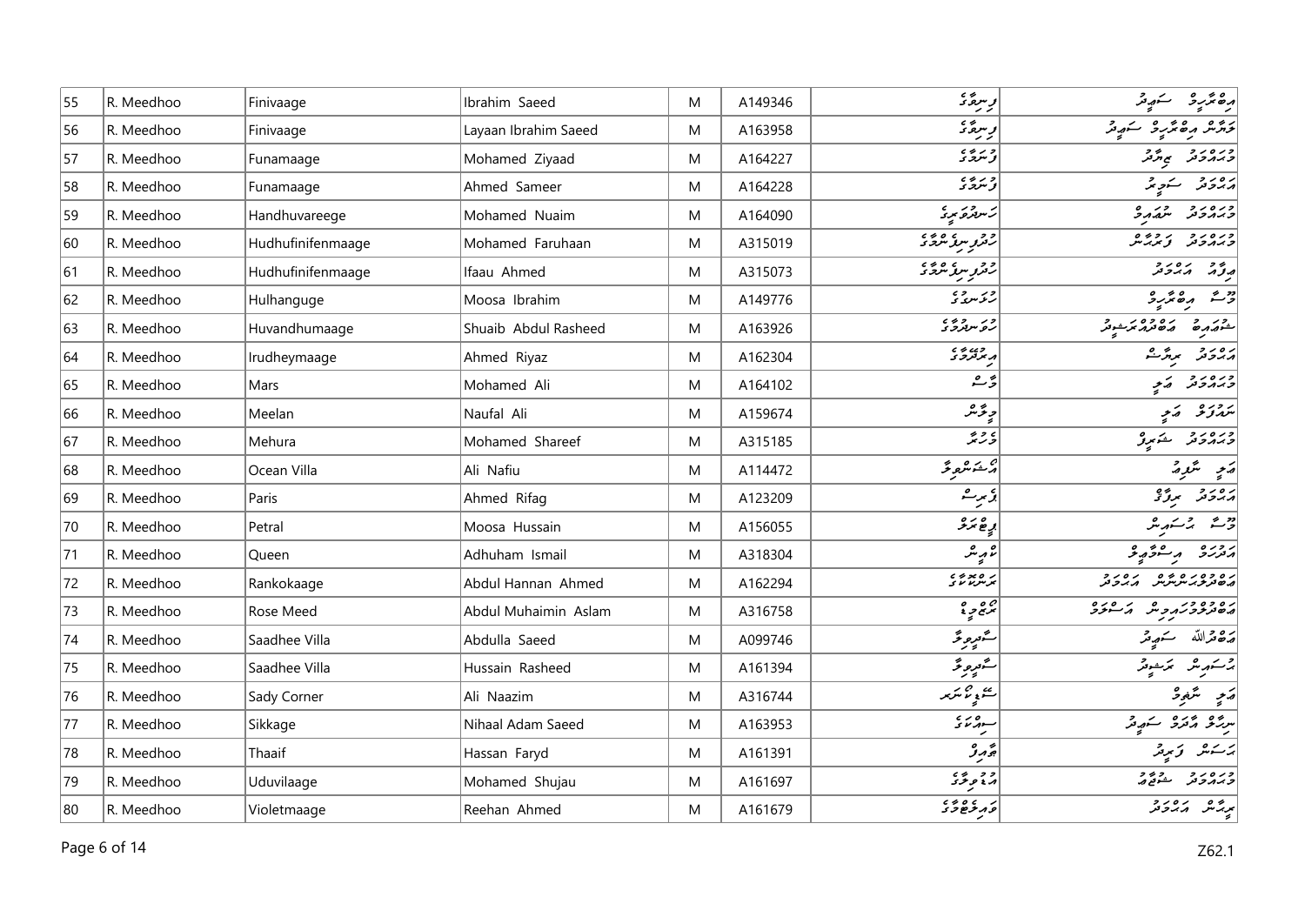| 55 | R. Meedhoo | Finivaage         | Ibrahim Saeed        | M | A149346 | او سرچ <sup>ي</sup><br>م                       | رە ئەر ئەر ئە                                                                                                                                                                                                                  |
|----|------------|-------------------|----------------------|---|---------|------------------------------------------------|--------------------------------------------------------------------------------------------------------------------------------------------------------------------------------------------------------------------------------|
| 56 | R. Meedhoo | Finivaage         | Layaan Ibrahim Saeed | M | A163958 | وسرچ                                           |                                                                                                                                                                                                                                |
| 57 | R. Meedhoo | Funamaage         | Mohamed Ziyaad       | M | A164227 | و ر د د<br>توسرچ د                             | כנסנכ<br>כממכת המת                                                                                                                                                                                                             |
| 58 | R. Meedhoo | Funamaage         | Ahmed Sameer         | M | A164228 | و پر پر پر<br>توسر <del>ی</del> ر <sub>ک</sub> | رەرە ئەدە                                                                                                                                                                                                                      |
| 59 | R. Meedhoo | Handhuvareege     | Mohamed Nuaim        | M | A164090 | ئەس <i>ىترى بى</i> رى                          | כנסני הגם                                                                                                                                                                                                                      |
| 60 | R. Meedhoo | Hudhufinifenmaage | Mohamed Faruhaan     | M | A315019 | ارد <sub>ۇر سو</sub> ر مەدى                    | ورەرو روماھ<br><i>ويەم</i> وتر <mark>ۋىر</mark> تىر                                                                                                                                                                            |
| 61 | R. Meedhoo | Hudhufinifenmaage | Ifaau Ahmed          | M | A315073 | <sup>32</sup> رو سرگە ئىرگە ئ                  | גלי גייני                                                                                                                                                                                                                      |
| 62 | R. Meedhoo | Hulhanguge        | Moosa Ibrahim        | M | A149776 | و ر رو ء<br>رن سر <sub>ک</sub> ی               | لرقت مرەئزىر                                                                                                                                                                                                                   |
| 63 | R. Meedhoo | Huvandhumaage     | Shuaib Abdul Rasheed | M | A163926 | و ر په و د و<br>ر و سربرو د                    | در در ده ده در مرشود.<br>شور مرده در در مرشود                                                                                                                                                                                  |
| 64 | R. Meedhoo | Irudheymaage      | Ahmed Riyaz          | M | A162304 | و ده ده د<br>در موتور د                        | أرور و مرش                                                                                                                                                                                                                     |
| 65 | R. Meedhoo | Mars              | Mohamed Ali          | M | A164102 | ۇ شە                                           | ورەرو كې                                                                                                                                                                                                                       |
| 66 | R. Meedhoo | Meelan            | Naufal Ali           | M | A159674 | جەڭرىگە                                        | يروره پړې                                                                                                                                                                                                                      |
| 67 | R. Meedhoo | Mehura            | Mohamed Shareef      | M | A315185 | ى ج محر<br>ح مر مگر                            | ورەرو شەرۇ                                                                                                                                                                                                                     |
| 68 | R. Meedhoo | Ocean Villa       | Ali Nafiu            | M | A114472 | ە ئەيدىگىرى <i>گە</i>                          | ە ئىقىدە                                                                                                                                                                                                                       |
| 69 | R. Meedhoo | Paris             | Ahmed Rifag          | M | A123209 | ۇ بر م                                         | رەر ئەرتى                                                                                                                                                                                                                      |
| 70 | R. Meedhoo | Petral            | Moosa Hussain        | M | A156055 | پر ڇ پر و                                      | وو محمد محمد محمد محمد المحمد المحمد المحمد المحمد المحمد المحمد المحمد المحمد المحمد المحمد المحمد المحمد المحمد المحمد المحمد المحمد المحمد المحمد المحمد المحمد المحمد المحمد المحمد المحمد المحمد المحمد المحمد المحمد الم |
| 71 | R. Meedhoo | Queen             | Adhuham Ismail       | M | A318304 | لامويثر                                        | روره پرسڅږيز                                                                                                                                                                                                                   |
| 72 | R. Meedhoo | Rankokaage        | Abdul Hannan Ahmed   | M | A162294 | ر ۵ پر دی<br>برس در د                          | ره وه ره ده مدر در د<br>پره تروبر سرس کر بر بر تر                                                                                                                                                                              |
| 73 | R. Meedhoo | Rose Meed         | Abdul Muhaimin Aslam | M | A316758 | پرېږي<br>  پرېږي                               | גם כם כל הפיל האביבים                                                                                                                                                                                                          |
| 74 | R. Meedhoo | Saadhee Villa     | Abdulla Saeed        | M | A099746 | سەمەرە ئ <sup>ۇ</sup>                          | رە داللە سەمەتر                                                                                                                                                                                                                |
| 75 | R. Meedhoo | Saadhee Villa     | Hussain Rasheed      | M | A161394 | سەمەر<br>سەمەر                                 | 2 كىرىش كېرىشونلە<br>م                                                                                                                                                                                                         |
| 76 | R. Meedhoo | Sady Corner       | Ali Naazim           | M | A316744 | ينو ۽ مدير<br>سنو ۽ مدير                       | ړنې شمخه                                                                                                                                                                                                                       |
| 77 | R. Meedhoo | Sikkage           | Nihaal Adam Saeed    | M | A163953 | ەر بەر<br>سىر تەرىخ                            | سرره وروه کرده                                                                                                                                                                                                                 |
| 78 | R. Meedhoo | Thaaif            | Hassan Faryd         | M | A161391 | پر<br>جوړو                                     | يُرَسَدُ وَمِيضٌ                                                                                                                                                                                                               |
| 79 | R. Meedhoo | Uduvilaage        | Mohamed Shujau       | M | A161697 | لروم عرمح                                      | وره ر و دو و<br><i>و بر دو</i> تر شو <sub>قع ه</sub>                                                                                                                                                                           |
| 80 | R. Meedhoo | Violetmaage       | Reehan Ahmed         | M | A161679 | ر وه وو و<br>و د ژیخ ژ <sub>ک</sub>            | پریگر مدونه                                                                                                                                                                                                                    |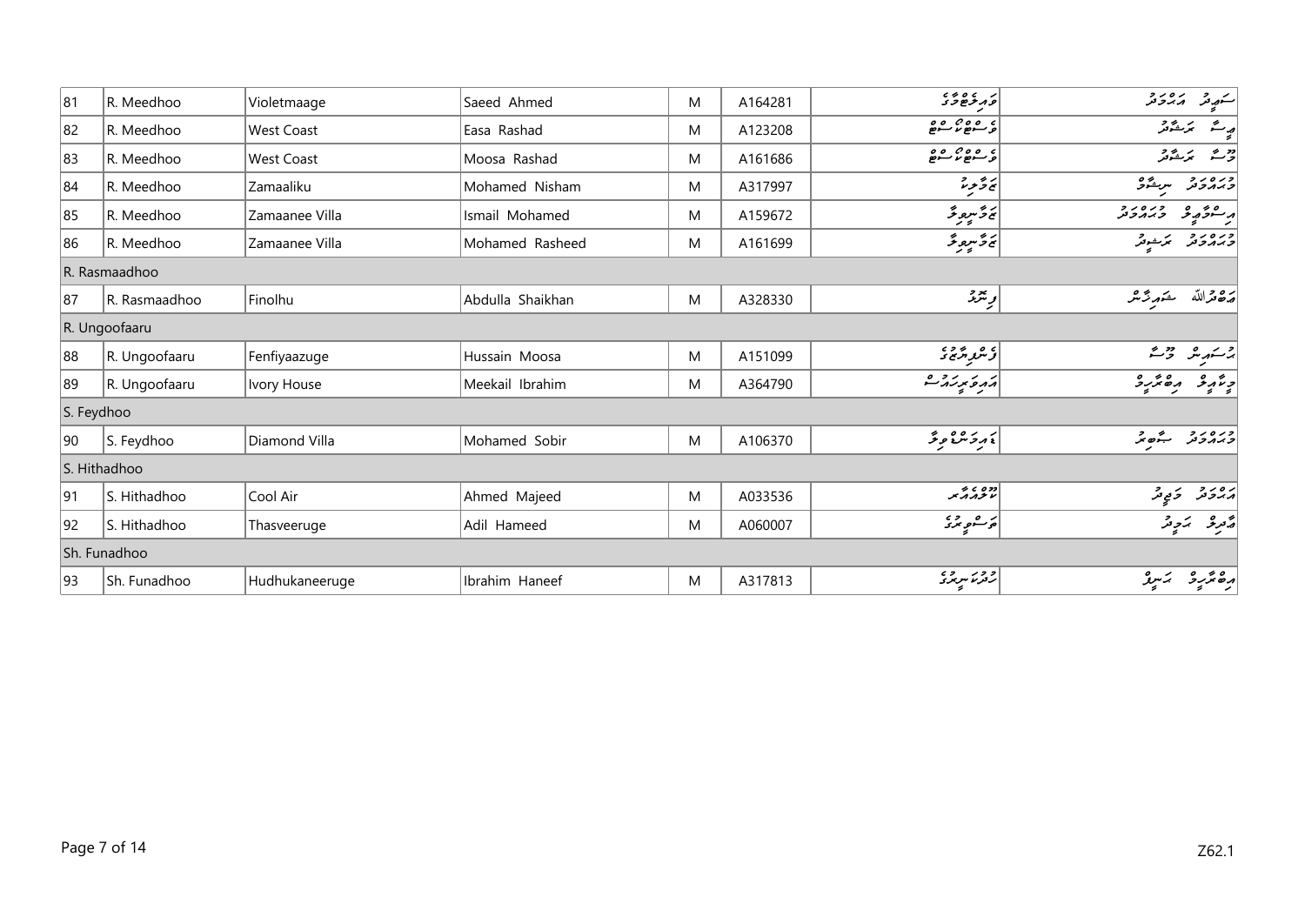| 81           | R. Meedhoo     | Violetmaage       | Saeed Ahmed      | M         | A164281 | ر په ۶۵ وي.<br>و د ترکاتر د                    | برورو<br> سەمەتىر                         |
|--------------|----------------|-------------------|------------------|-----------|---------|------------------------------------------------|-------------------------------------------|
| 82           | R. Meedhoo     | <b>West Coast</b> | Easa Rashad      | M         | A123208 | <mark>ء موھ مي ھو</mark>                       | اریٹ بزشکر                                |
| 83           | R. Meedhoo     | <b>West Coast</b> | Moosa Rashad     | M         | A161686 | 200000                                         | وَرَسَمْ - مَرَسْتَوْتَر                  |
| 84           | R. Meedhoo     | Zamaaliku         | Mohamed Nisham   | M         | A317997 | ىر ئۇ يەر                                      | و ره ر د<br>تر <i>پر</i> و تر<br>سرشگرو   |
| 85           | R. Meedhoo     | Zamaanee Villa    | Ismail Mohamed   | M         | A159672 | ئەۋسپەيۇ                                       | و عرصي وره د و                            |
| 86           | R. Meedhoo     | Zamaanee Villa    | Mohamed Rasheed  | M         | A161699 | ئەۋسپەرتىر                                     | ورەر و پرىنونر                            |
|              | R. Rasmaadhoo  |                   |                  |           |         |                                                |                                           |
| 87           | R. Rasmaadhoo  | Finolhu           | Abdulla Shaikhan | ${\sf M}$ | A328330 | ويترتز                                         | ح قرالله خرمرته                           |
|              | R. Ungoofaaru  |                   |                  |           |         |                                                |                                           |
| 88           | R. Ungoofaaru  | Fenfiyaazuge      | Hussain Moosa    | M         | A151099 | ې مه په <sup>دې</sup> د                        | جرىسە مەشر<br>دين مشر                     |
| 89           | R. Ungoofaaru  | Ivory House       | Meekail Ibrahim  | M         | A364790 | ئەرغە بېرىدىك                                  | مەھ ئىرىرى<br>جەتىر بۇ                    |
| S. Feydhoo   |                |                   |                  |           |         |                                                |                                           |
| $ 90\rangle$ | S. Feydhoo     | Diamond Villa     | Mohamed Sobir    | M         | A106370 | ئەرجىدى جەمۇ                                   | و ر ه ر د<br><i>و بر</i> پر تر<br>ىبەھ بر |
|              | S. Hithadhoo   |                   |                  |           |         |                                                |                                           |
| 91           | l S. Hithadhoo | Cool Air          | Ahmed Majeed     | M         | A033536 | دوه پ پر<br>  بر مورد مر                       | دەر بەر ئەيد                              |
| 92           | S. Hithadhoo   | Thasveeruge       | Adil Hameed      | M         | A060007 | پر شو <sub>مو</sub> پر د                       | مەمرى - سەمەتەر                           |
|              | Sh. Funadhoo   |                   |                  |           |         |                                                |                                           |
| 93           | Sh. Funadhoo   | Hudhukaneeruge    | Ibrahim Haneef   | ${\sf M}$ | A317813 | 32 كۈندىتىرى<br>مەقترىما س <sub>ى</sub> رىتىرى | ەر ھەترىر <i>3</i><br>برسوه               |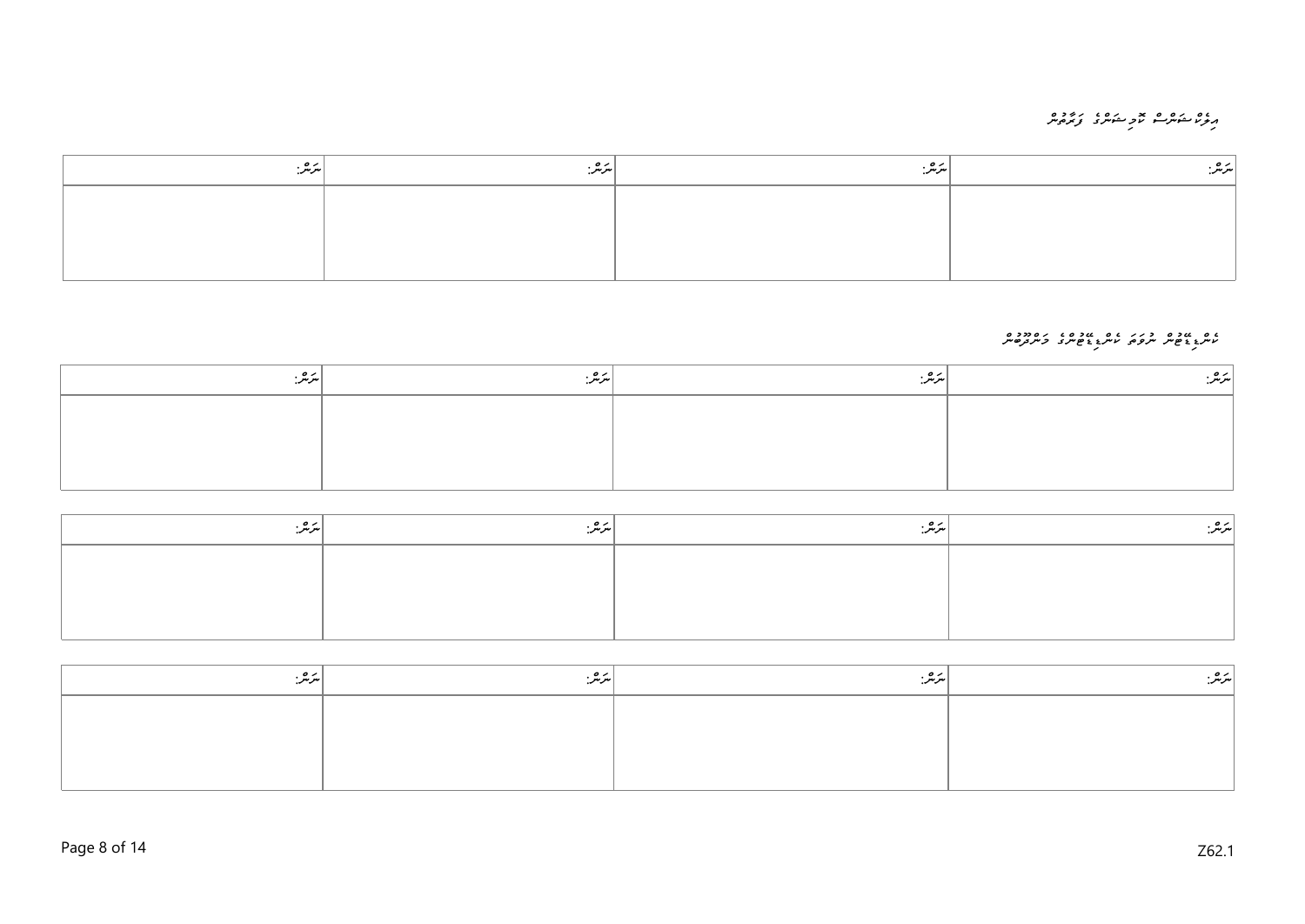## *w7qAn8m?sCw7mRo>u;wEw7mRw;sBo<*

| ' مرمر | 'يئرىثر: |
|--------|----------|
|        |          |
|        |          |
|        |          |

## *w7q9r@w7m>sCw7qHtFoFw7s;mAm=q7w7qHtFoFw7s;*

| ىر تە | $\mathcal{O} \times$<br>$\sim$ | $\sim$<br>. . | لترنثر |
|-------|--------------------------------|---------------|--------|
|       |                                |               |        |
|       |                                |               |        |
|       |                                |               |        |

| $\frac{2}{n}$ | $\overline{\phantom{a}}$ | اير هنه. | $\mathcal{O} \times$<br>سرسر |
|---------------|--------------------------|----------|------------------------------|
|               |                          |          |                              |
|               |                          |          |                              |
|               |                          |          |                              |

| ' ئىرتىر: | سر سر |  |
|-----------|-------|--|
|           |       |  |
|           |       |  |
|           |       |  |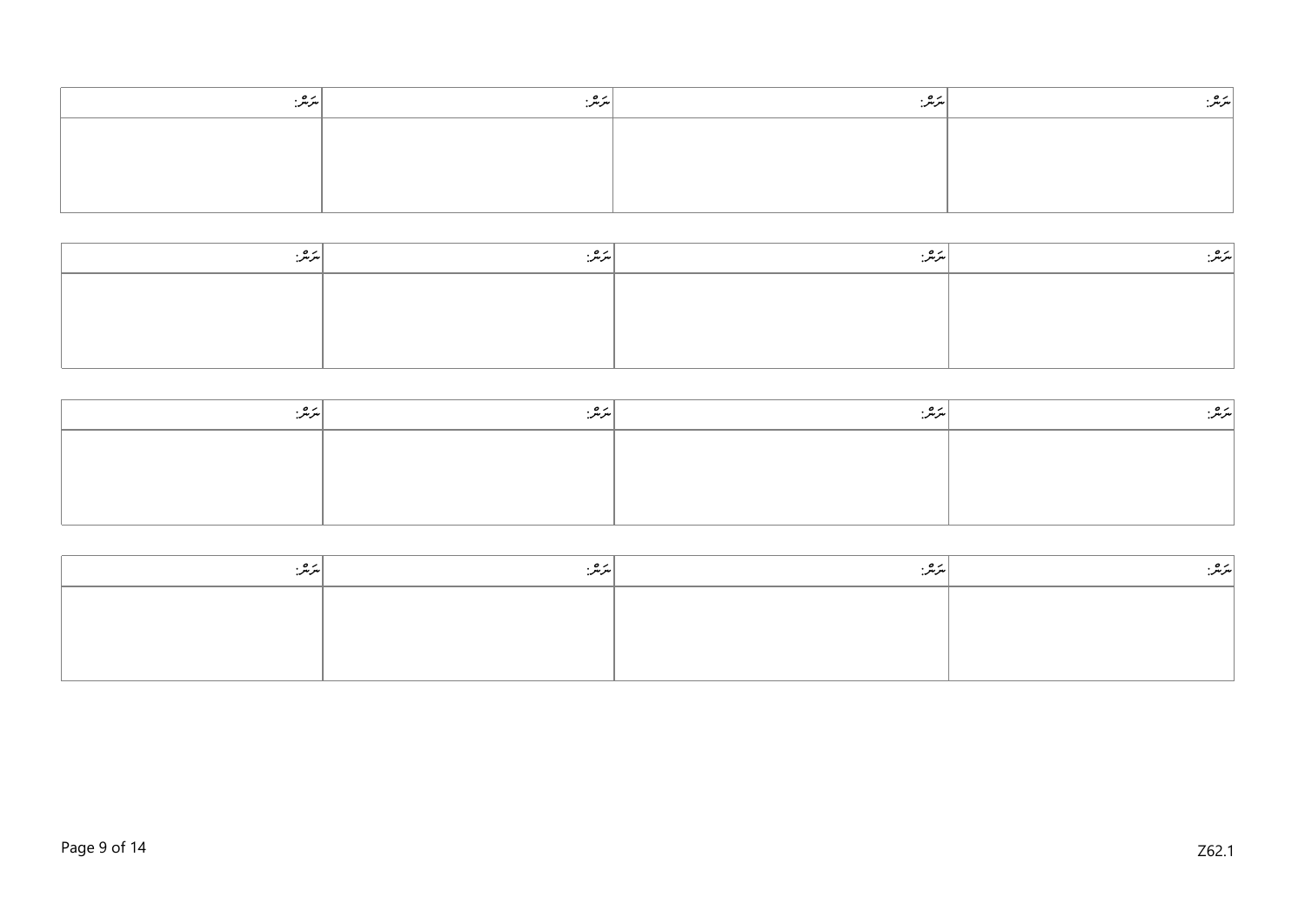| يزهر | $^{\circ}$ | ىئرىتر: |  |
|------|------------|---------|--|
|      |            |         |  |
|      |            |         |  |
|      |            |         |  |

| <sup>.</sup> سرسر. |  |
|--------------------|--|
|                    |  |
|                    |  |
|                    |  |

| ىئرىتر. | $\sim$ | ا بر هه. | لىرىش |
|---------|--------|----------|-------|
|         |        |          |       |
|         |        |          |       |
|         |        |          |       |

| يترمثر | $^{\circ}$ | ىر پىر |
|--------|------------|--------|
|        |            |        |
|        |            |        |
|        |            |        |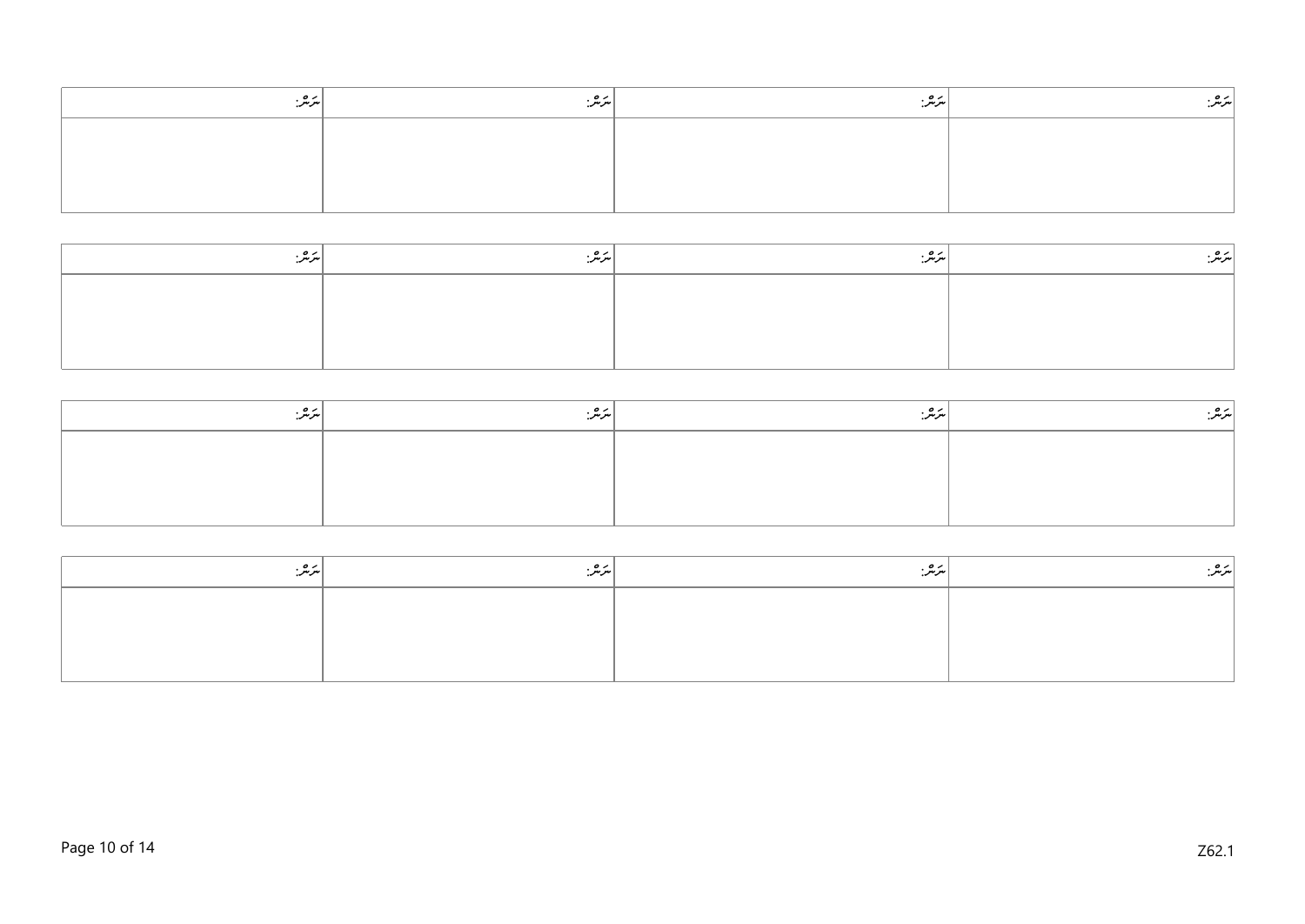| ير هو . | $\overline{\phantom{a}}$ | يرمر | اير هنه. |
|---------|--------------------------|------|----------|
|         |                          |      |          |
|         |                          |      |          |
|         |                          |      |          |

| ئىرتىر: | $\sim$<br>ا سرسر . | يئرمثر | o . |
|---------|--------------------|--------|-----|
|         |                    |        |     |
|         |                    |        |     |
|         |                    |        |     |

| الترنثر: | ' مرتكز: | الترنثر: | .,<br>سرس. |
|----------|----------|----------|------------|
|          |          |          |            |
|          |          |          |            |
|          |          |          |            |

|  | . ه |
|--|-----|
|  |     |
|  |     |
|  |     |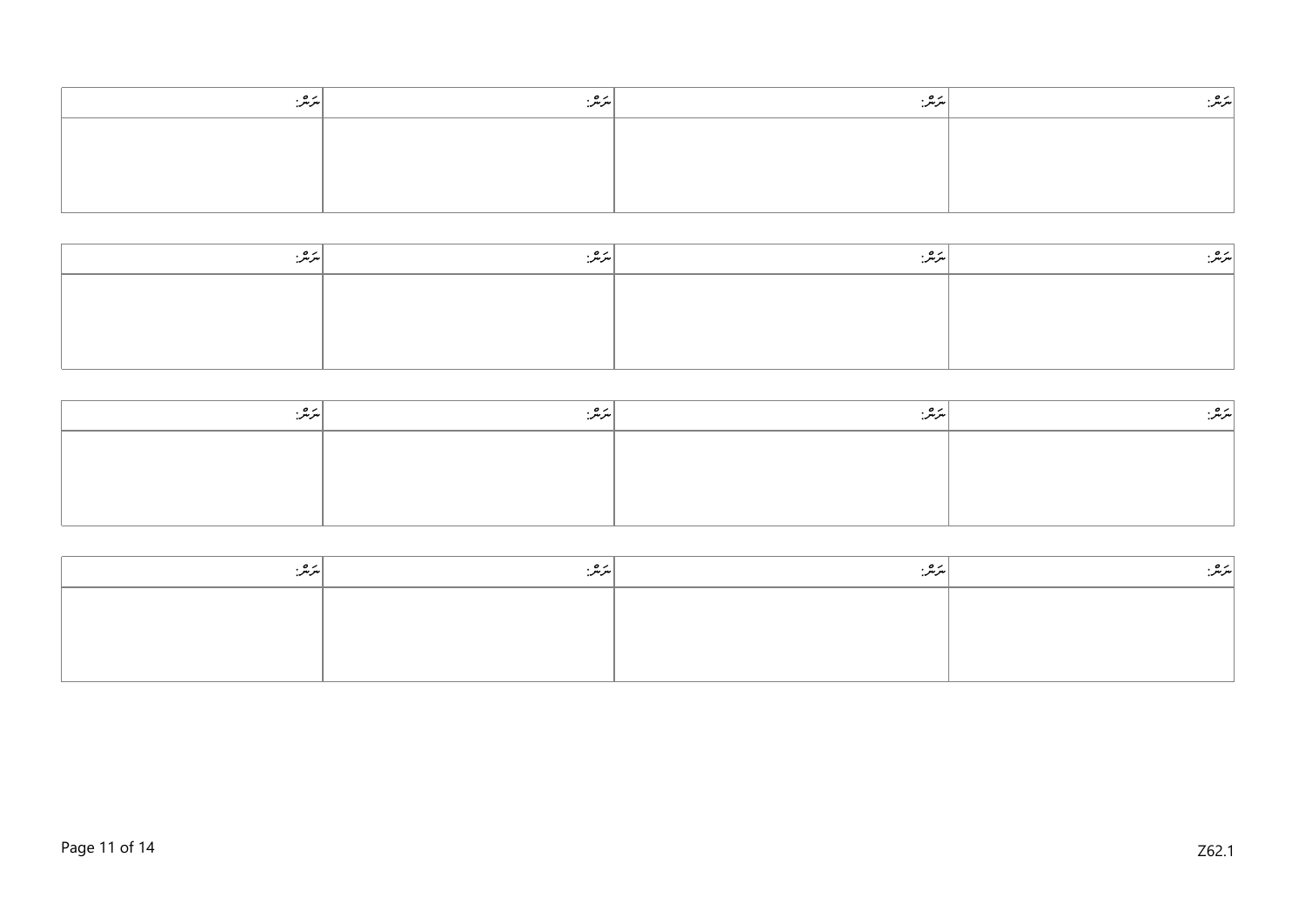| ير هو . | $\overline{\phantom{a}}$ | يرمر | اير هنه. |
|---------|--------------------------|------|----------|
|         |                          |      |          |
|         |                          |      |          |
|         |                          |      |          |

| ئىرتىر: | $\sim$<br>ا سرسر . | يئرمثر | o . |
|---------|--------------------|--------|-----|
|         |                    |        |     |
|         |                    |        |     |
|         |                    |        |     |

| نتزيتر به | 。 | 。<br>سمرسمد. | o <i>~</i> |
|-----------|---|--------------|------------|
|           |   |              |            |
|           |   |              |            |
|           |   |              |            |

|  | . ه |
|--|-----|
|  |     |
|  |     |
|  |     |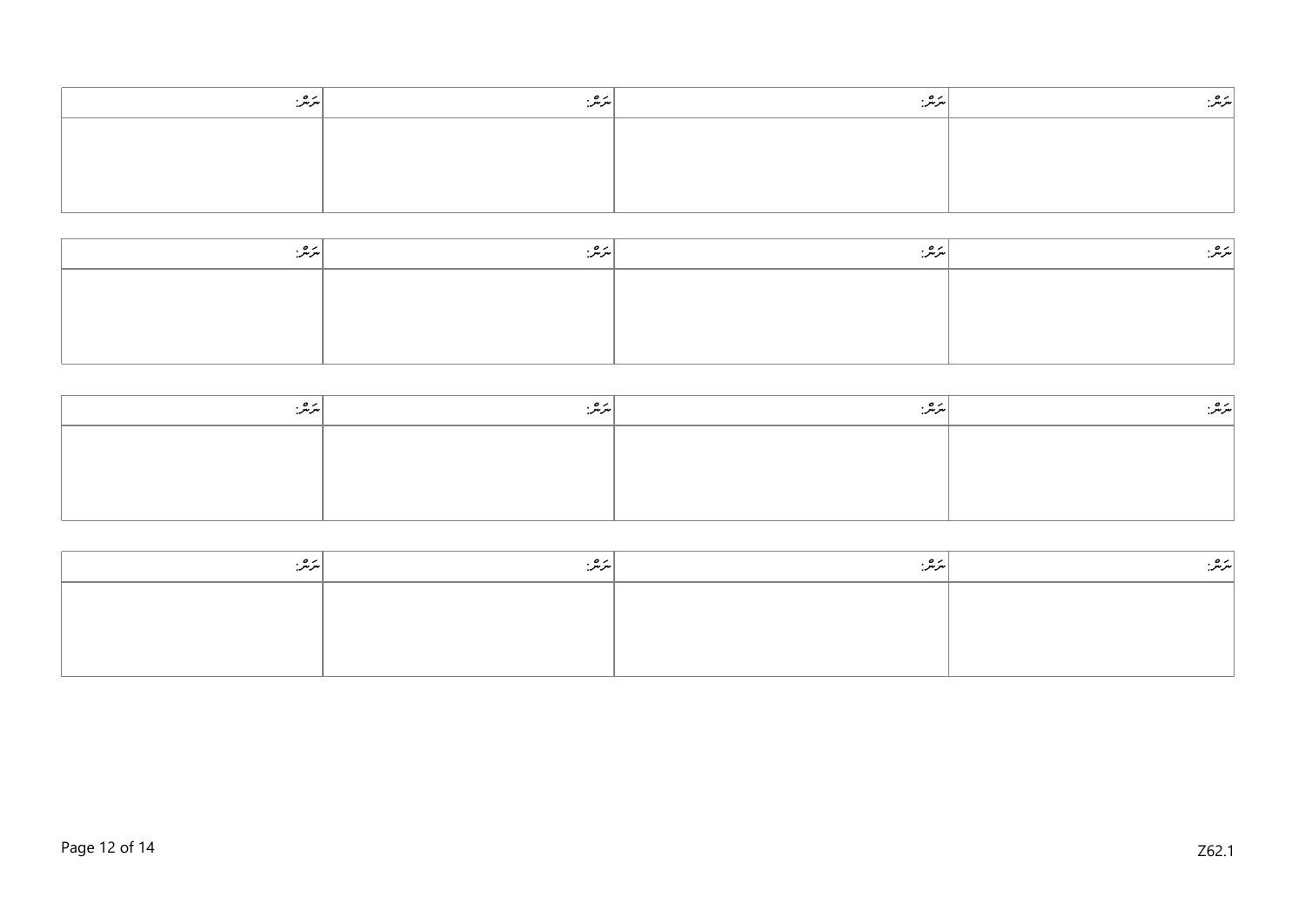| $\cdot$ | 。 | $\frac{\circ}{\cdot}$ | $\sim$<br>سرسر |
|---------|---|-----------------------|----------------|
|         |   |                       |                |
|         |   |                       |                |
|         |   |                       |                |

| يريثن | ' سرسر . |  |
|-------|----------|--|
|       |          |  |
|       |          |  |
|       |          |  |

| بر ه | . ه | $\sim$<br>سرسر |  |
|------|-----|----------------|--|
|      |     |                |  |
|      |     |                |  |
|      |     |                |  |

| 。<br>. س | ىرىىر |  |
|----------|-------|--|
|          |       |  |
|          |       |  |
|          |       |  |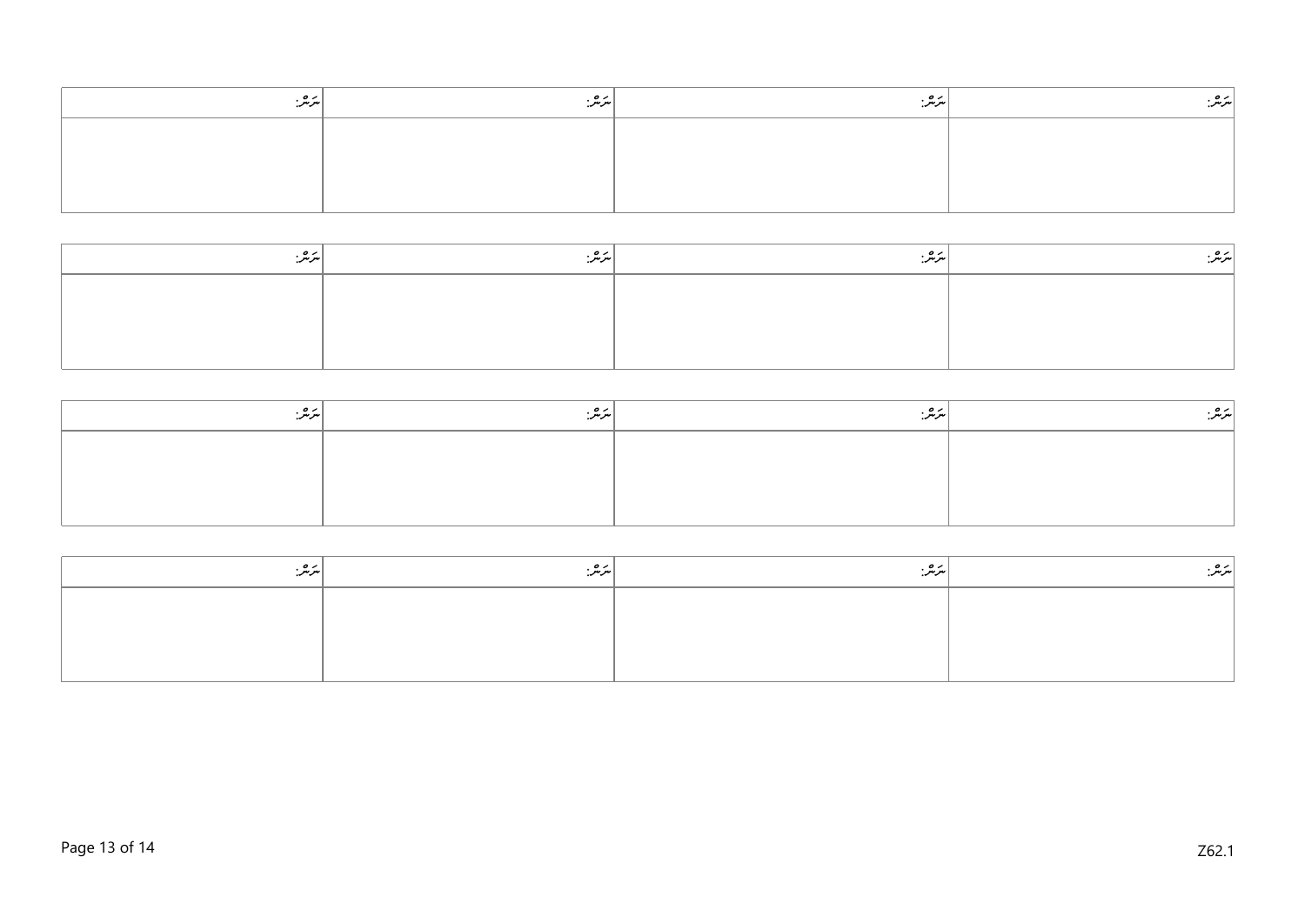| ير هو . | $\overline{\phantom{a}}$ | يرمر | اير هنه. |
|---------|--------------------------|------|----------|
|         |                          |      |          |
|         |                          |      |          |
|         |                          |      |          |

| ىر تىر: | $\circ$ $\sim$<br>" سرسر . | يبرحه | o . |
|---------|----------------------------|-------|-----|
|         |                            |       |     |
|         |                            |       |     |
|         |                            |       |     |

| 'تترنثر: | . .<br>يسمونس. |  |
|----------|----------------|--|
|          |                |  |
|          |                |  |
|          |                |  |

|  | . ه |
|--|-----|
|  |     |
|  |     |
|  |     |